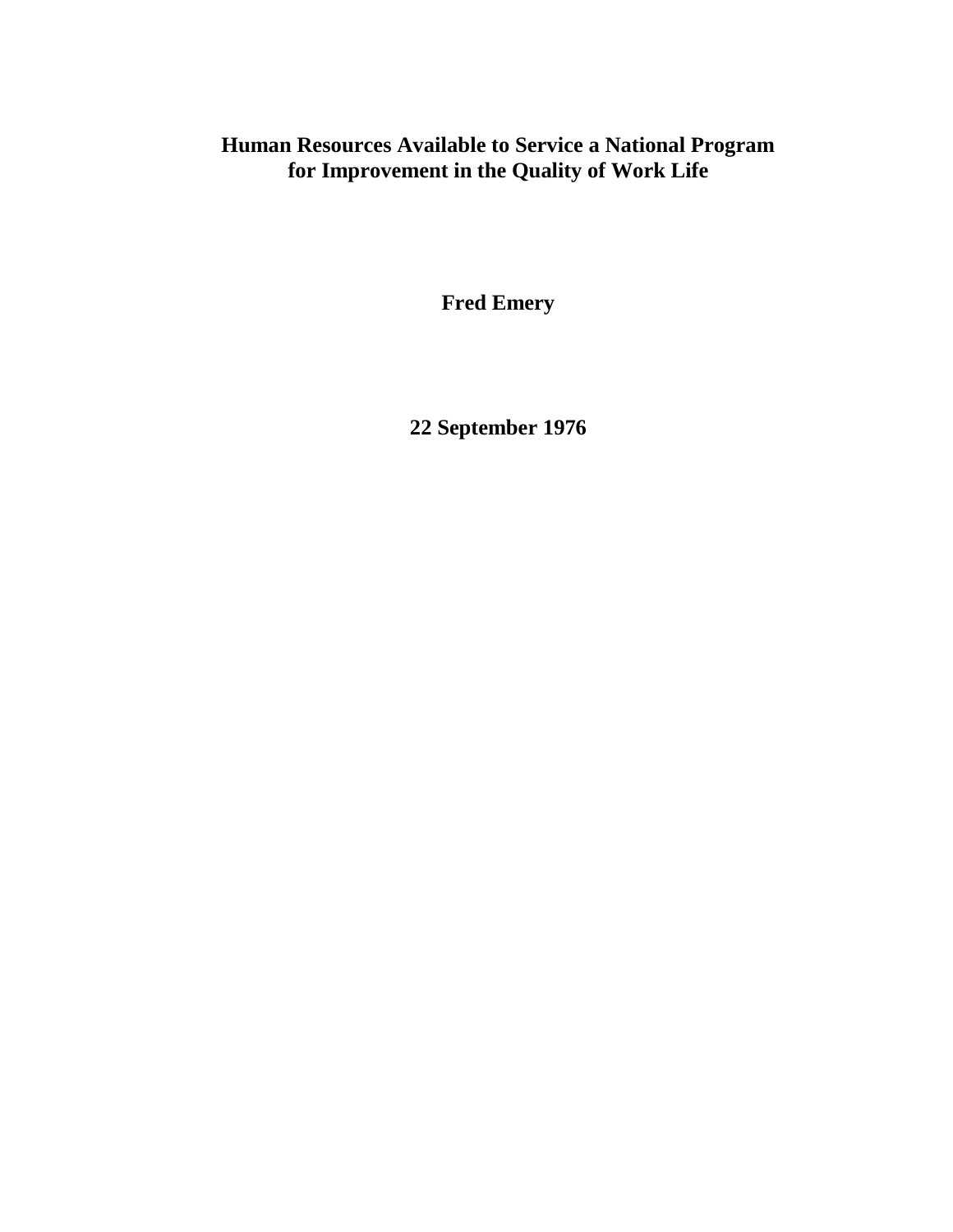## **Human Resources Available to Service a National Program for Improvement in the Quality of Work Life**

**Fred Emery**

**22 September 1976**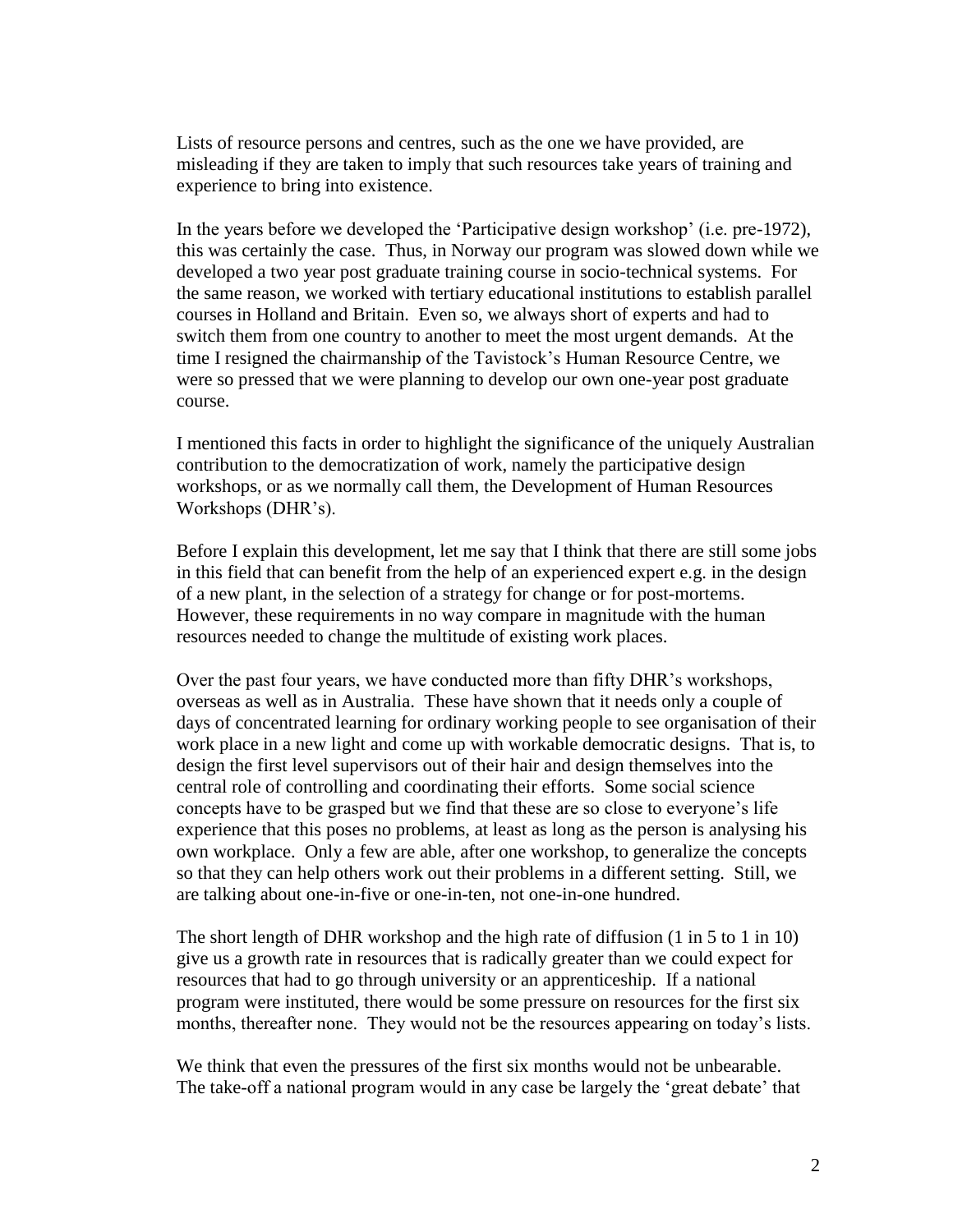Lists of resource persons and centres, such as the one we have provided, are misleading if they are taken to imply that such resources take years of training and experience to bring into existence.

In the years before we developed the 'Participative design workshop' (i.e. pre-1972), this was certainly the case. Thus, in Norway our program was slowed down while we developed a two year post graduate training course in socio-technical systems. For the same reason, we worked with tertiary educational institutions to establish parallel courses in Holland and Britain. Even so, we always short of experts and had to switch them from one country to another to meet the most urgent demands. At the time I resigned the chairmanship of the Tavistock's Human Resource Centre, we were so pressed that we were planning to develop our own one-year post graduate course.

I mentioned this facts in order to highlight the significance of the uniquely Australian contribution to the democratization of work, namely the participative design workshops, or as we normally call them, the Development of Human Resources Workshops (DHR's).

Before I explain this development, let me say that I think that there are still some jobs in this field that can benefit from the help of an experienced expert e.g. in the design of a new plant, in the selection of a strategy for change or for post-mortems. However, these requirements in no way compare in magnitude with the human resources needed to change the multitude of existing work places.

Over the past four years, we have conducted more than fifty DHR's workshops, overseas as well as in Australia. These have shown that it needs only a couple of days of concentrated learning for ordinary working people to see organisation of their work place in a new light and come up with workable democratic designs. That is, to design the first level supervisors out of their hair and design themselves into the central role of controlling and coordinating their efforts. Some social science concepts have to be grasped but we find that these are so close to everyone's life experience that this poses no problems, at least as long as the person is analysing his own workplace. Only a few are able, after one workshop, to generalize the concepts so that they can help others work out their problems in a different setting. Still, we are talking about one-in-five or one-in-ten, not one-in-one hundred.

The short length of DHR workshop and the high rate of diffusion (1 in 5 to 1 in 10) give us a growth rate in resources that is radically greater than we could expect for resources that had to go through university or an apprenticeship. If a national program were instituted, there would be some pressure on resources for the first six months, thereafter none. They would not be the resources appearing on today's lists.

We think that even the pressures of the first six months would not be unbearable. The take-off a national program would in any case be largely the 'great debate' that